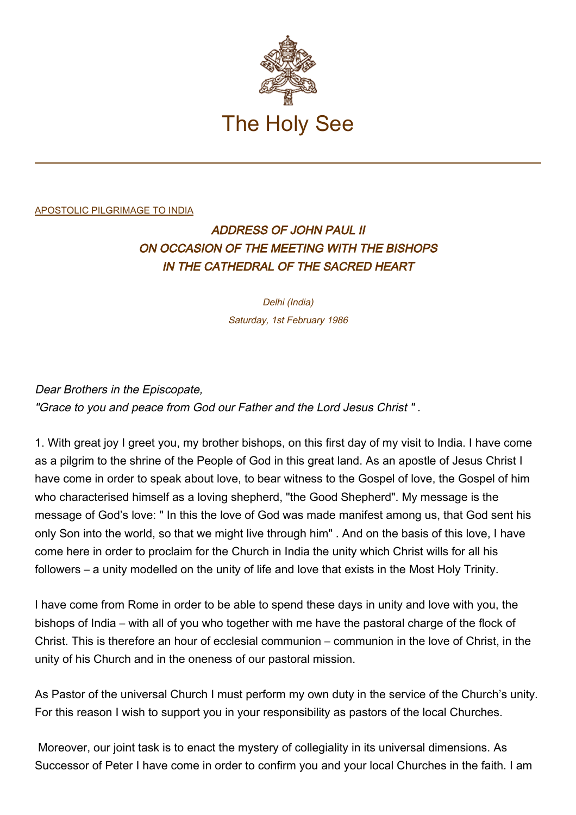

## [APOSTOLIC PILGRIMAGE TO INDIA](http://localhost/holy_father/john_paul_ii/travels/sub_index1986/trav_india.htm)

## ADDRESS OF JOHN PAUL II ON OCCASION OF THE MEETING WITH THE BISHOPS IN THE CATHEDRAL OF THE SACRED HEART

Delhi (India) Saturday, 1st February 1986

Dear Brothers in the Episcopate, "Grace to you and peace from God our Father and the Lord Jesus Christ " .

1. With great joy I greet you, my brother bishops, on this first day of my visit to India. I have come as a pilgrim to the shrine of the People of God in this great land. As an apostle of Jesus Christ I have come in order to speak about love, to bear witness to the Gospel of love, the Gospel of him who characterised himself as a loving shepherd, "the Good Shepherd". My message is the message of God's love: " In this the love of God was made manifest among us, that God sent his only Son into the world, so that we might live through him" . And on the basis of this love, I have come here in order to proclaim for the Church in India the unity which Christ wills for all his followers – a unity modelled on the unity of life and love that exists in the Most Holy Trinity.

I have come from Rome in order to be able to spend these days in unity and love with you, the bishops of India – with all of you who together with me have the pastoral charge of the flock of Christ. This is therefore an hour of ecclesial communion – communion in the love of Christ, in the unity of his Church and in the oneness of our pastoral mission.

As Pastor of the universal Church I must perform my own duty in the service of the Church's unity. For this reason I wish to support you in your responsibility as pastors of the local Churches.

 Moreover, our joint task is to enact the mystery of collegiality in its universal dimensions. As Successor of Peter I have come in order to confirm you and your local Churches in the faith. I am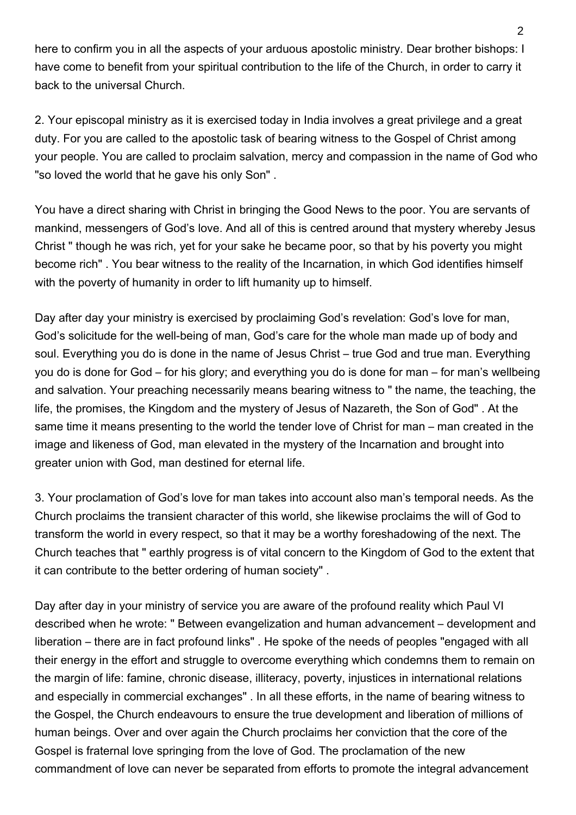here to confirm you in all the aspects of your arduous apostolic ministry. Dear brother bishops: I have come to benefit from your spiritual contribution to the life of the Church, in order to carry it back to the universal Church.

2. Your episcopal ministry as it is exercised today in India involves a great privilege and a great duty. For you are called to the apostolic task of bearing witness to the Gospel of Christ among your people. You are called to proclaim salvation, mercy and compassion in the name of God who "so loved the world that he gave his only Son" .

You have a direct sharing with Christ in bringing the Good News to the poor. You are servants of mankind, messengers of God's love. And all of this is centred around that mystery whereby Jesus Christ " though he was rich, yet for your sake he became poor, so that by his poverty you might become rich" . You bear witness to the reality of the Incarnation, in which God identifies himself with the poverty of humanity in order to lift humanity up to himself.

Day after day your ministry is exercised by proclaiming God's revelation: God's love for man, God's solicitude for the well-being of man, God's care for the whole man made up of body and soul. Everything you do is done in the name of Jesus Christ – true God and true man. Everything you do is done for God – for his glory; and everything you do is done for man – for man's wellbeing and salvation. Your preaching necessarily means bearing witness to " the name, the teaching, the life, the promises, the Kingdom and the mystery of Jesus of Nazareth, the Son of God" . At the same time it means presenting to the world the tender love of Christ for man – man created in the image and likeness of God, man elevated in the mystery of the Incarnation and brought into greater union with God, man destined for eternal life.

3. Your proclamation of God's love for man takes into account also man's temporal needs. As the Church proclaims the transient character of this world, she likewise proclaims the will of God to transform the world in every respect, so that it may be a worthy foreshadowing of the next. The Church teaches that " earthly progress is of vital concern to the Kingdom of God to the extent that it can contribute to the better ordering of human society" .

Day after day in your ministry of service you are aware of the profound reality which Paul VI described when he wrote: " Between evangelization and human advancement – development and liberation – there are in fact profound links" . He spoke of the needs of peoples "engaged with all their energy in the effort and struggle to overcome everything which condemns them to remain on the margin of life: famine, chronic disease, illiteracy, poverty, injustices in international relations and especially in commercial exchanges" . In all these efforts, in the name of bearing witness to the Gospel, the Church endeavours to ensure the true development and liberation of millions of human beings. Over and over again the Church proclaims her conviction that the core of the Gospel is fraternal love springing from the love of God. The proclamation of the new commandment of love can never be separated from efforts to promote the integral advancement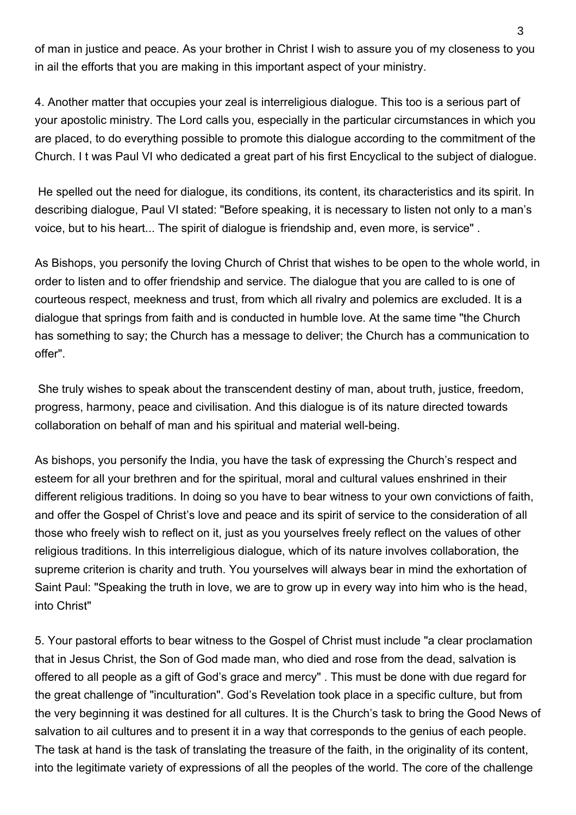of man in justice and peace. As your brother in Christ I wish to assure you of my closeness to you in ail the efforts that you are making in this important aspect of your ministry.

4. Another matter that occupies your zeal is interreligious dialogue. This too is a serious part of your apostolic ministry. The Lord calls you, especially in the particular circumstances in which you are placed, to do everything possible to promote this dialogue according to the commitment of the Church. I t was Paul VI who dedicated a great part of his first Encyclical to the subject of dialogue.

 He spelled out the need for dialogue, its conditions, its content, its characteristics and its spirit. In describing dialogue, Paul VI stated: "Before speaking, it is necessary to listen not only to a man's voice, but to his heart... The spirit of dialogue is friendship and, even more, is service" .

As Bishops, you personify the loving Church of Christ that wishes to be open to the whole world, in order to listen and to offer friendship and service. The dialogue that you are called to is one of courteous respect, meekness and trust, from which all rivalry and polemics are excluded. It is a dialogue that springs from faith and is conducted in humble love. At the same time "the Church has something to say; the Church has a message to deliver; the Church has a communication to offer".

 She truly wishes to speak about the transcendent destiny of man, about truth, justice, freedom, progress, harmony, peace and civilisation. And this dialogue is of its nature directed towards collaboration on behalf of man and his spiritual and material well-being.

As bishops, you personify the India, you have the task of expressing the Church's respect and esteem for all your brethren and for the spiritual, moral and cultural values enshrined in their different religious traditions. In doing so you have to bear witness to your own convictions of faith, and offer the Gospel of Christ's love and peace and its spirit of service to the consideration of all those who freely wish to reflect on it, just as you yourselves freely reflect on the values of other religious traditions. In this interreligious dialogue, which of its nature involves collaboration, the supreme criterion is charity and truth. You yourselves will always bear in mind the exhortation of Saint Paul: "Speaking the truth in love, we are to grow up in every way into him who is the head, into Christ"

5. Your pastoral efforts to bear witness to the Gospel of Christ must include "a clear proclamation that in Jesus Christ, the Son of God made man, who died and rose from the dead, salvation is offered to all people as a gift of God's grace and mercy" . This must be done with due regard for the great challenge of "inculturation". God's Revelation took place in a specific culture, but from the very beginning it was destined for all cultures. It is the Church's task to bring the Good News of salvation to ail cultures and to present it in a way that corresponds to the genius of each people. The task at hand is the task of translating the treasure of the faith, in the originality of its content, into the legitimate variety of expressions of all the peoples of the world. The core of the challenge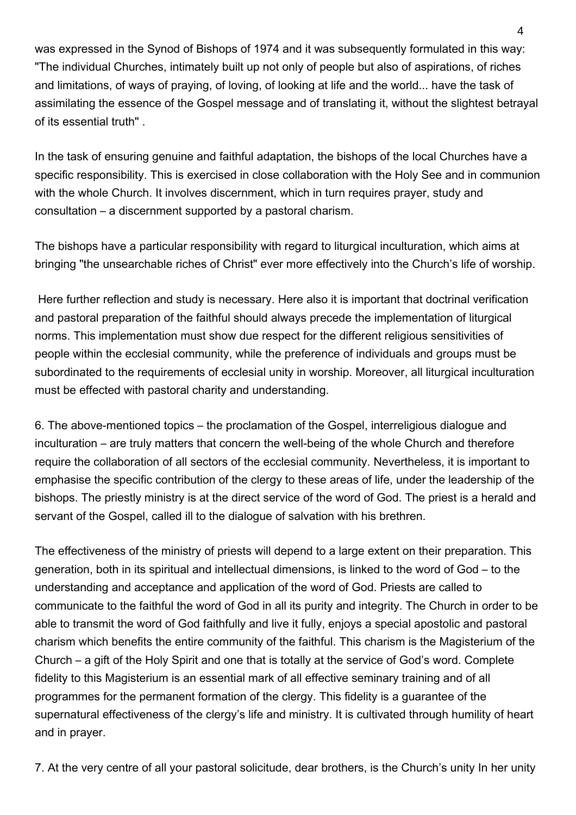was expressed in the Synod of Bishops of 1974 and it was subsequently formulated in this way: "The individual Churches, intimately built up not only of people but also of aspirations, of riches and limitations, of ways of praying, of loving, of looking at life and the world... have the task of assimilating the essence of the Gospel message and of translating it, without the slightest betrayal of its essential truth" .

In the task of ensuring genuine and faithful adaptation, the bishops of the local Churches have a specific responsibility. This is exercised in close collaboration with the Holy See and in communion with the whole Church. It involves discernment, which in turn requires prayer, study and consultation – a discernment supported by a pastoral charism.

The bishops have a particular responsibility with regard to liturgical inculturation, which aims at bringing "the unsearchable riches of Christ" ever more effectively into the Church's life of worship.

 Here further reflection and study is necessary. Here also it is important that doctrinal verification and pastoral preparation of the faithful should always precede the implementation of liturgical norms. This implementation must show due respect for the different religious sensitivities of people within the ecclesial community, while the preference of individuals and groups must be subordinated to the requirements of ecclesial unity in worship. Moreover, all liturgical inculturation must be effected with pastoral charity and understanding.

6. The above-mentioned topics – the proclamation of the Gospel, interreligious dialogue and inculturation – are truly matters that concern the well-being of the whole Church and therefore require the collaboration of all sectors of the ecclesial community. Nevertheless, it is important to emphasise the specific contribution of the clergy to these areas of life, under the leadership of the bishops. The priestly ministry is at the direct service of the word of God. The priest is a herald and servant of the Gospel, called ill to the dialogue of salvation with his brethren.

The effectiveness of the ministry of priests will depend to a large extent on their preparation. This generation, both in its spiritual and intellectual dimensions, is linked to the word of God – to the understanding and acceptance and application of the word of God. Priests are called to communicate to the faithful the word of God in all its purity and integrity. The Church in order to be able to transmit the word of God faithfully and live it fully, enjoys a special apostolic and pastoral charism which benefits the entire community of the faithful. This charism is the Magisterium of the Church – a gift of the Holy Spirit and one that is totally at the service of God's word. Complete fidelity to this Magisterium is an essential mark of all effective seminary training and of all programmes for the permanent formation of the clergy. This fidelity is a guarantee of the supernatural effectiveness of the clergy's life and ministry. It is cultivated through humility of heart and in prayer.

7. At the very centre of all your pastoral solicitude, dear brothers, is the Church's unity In her unity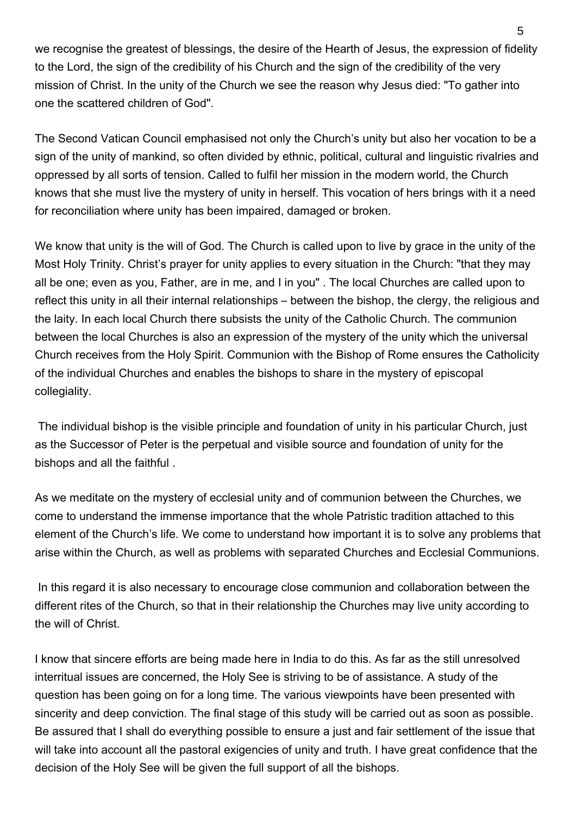we recognise the greatest of blessings, the desire of the Hearth of Jesus, the expression of fidelity to the Lord, the sign of the credibility of his Church and the sign of the credibility of the very mission of Christ. In the unity of the Church we see the reason why Jesus died: "To gather into one the scattered children of God".

The Second Vatican Council emphasised not only the Church's unity but also her vocation to be a sign of the unity of mankind, so often divided by ethnic, political, cultural and linguistic rivalries and oppressed by all sorts of tension. Called to fulfil her mission in the modern world, the Church knows that she must live the mystery of unity in herself. This vocation of hers brings with it a need for reconciliation where unity has been impaired, damaged or broken.

We know that unity is the will of God. The Church is called upon to live by grace in the unity of the Most Holy Trinity. Christ's prayer for unity applies to every situation in the Church: "that they may all be one; even as you, Father, are in me, and I in you" . The local Churches are called upon to reflect this unity in all their internal relationships – between the bishop, the clergy, the religious and the laity. In each local Church there subsists the unity of the Catholic Church. The communion between the local Churches is also an expression of the mystery of the unity which the universal Church receives from the Holy Spirit. Communion with the Bishop of Rome ensures the Catholicity of the individual Churches and enables the bishops to share in the mystery of episcopal collegiality.

 The individual bishop is the visible principle and foundation of unity in his particular Church, just as the Successor of Peter is the perpetual and visible source and foundation of unity for the bishops and all the faithful .

As we meditate on the mystery of ecclesial unity and of communion between the Churches, we come to understand the immense importance that the whole Patristic tradition attached to this element of the Church's life. We come to understand how important it is to solve any problems that arise within the Church, as well as problems with separated Churches and Ecclesial Communions.

 In this regard it is also necessary to encourage close communion and collaboration between the different rites of the Church, so that in their relationship the Churches may live unity according to the will of Christ.

I know that sincere efforts are being made here in India to do this. As far as the still unresolved interritual issues are concerned, the Holy See is striving to be of assistance. A study of the question has been going on for a long time. The various viewpoints have been presented with sincerity and deep conviction. The final stage of this study will be carried out as soon as possible. Be assured that I shall do everything possible to ensure a just and fair settlement of the issue that will take into account all the pastoral exigencies of unity and truth. I have great confidence that the decision of the Holy See will be given the full support of all the bishops.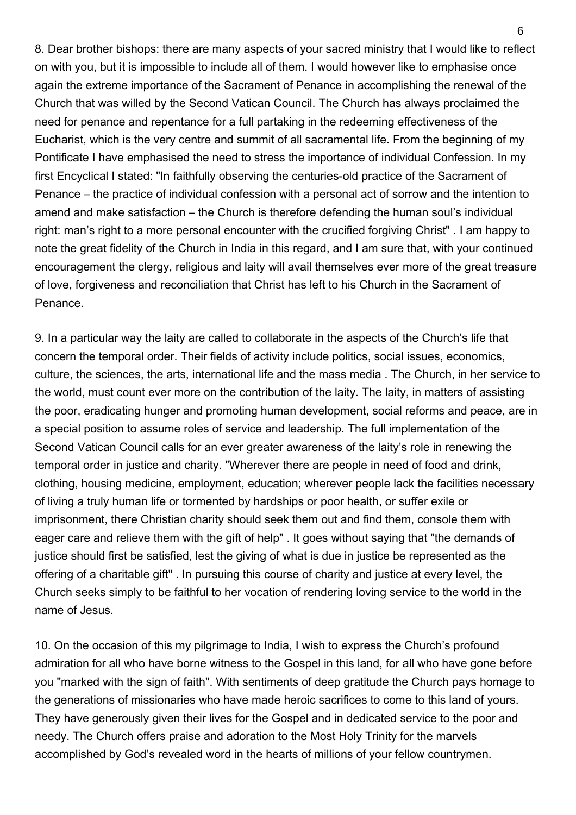8. Dear brother bishops: there are many aspects of your sacred ministry that I would like to reflect on with you, but it is impossible to include all of them. I would however like to emphasise once again the extreme importance of the Sacrament of Penance in accomplishing the renewal of the Church that was willed by the Second Vatican Council. The Church has always proclaimed the need for penance and repentance for a full partaking in the redeeming effectiveness of the Eucharist, which is the very centre and summit of all sacramental life. From the beginning of my Pontificate I have emphasised the need to stress the importance of individual Confession. In my first Encyclical I stated: "In faithfully observing the centuries-old practice of the Sacrament of Penance – the practice of individual confession with a personal act of sorrow and the intention to amend and make satisfaction – the Church is therefore defending the human soul's individual right: man's right to a more personal encounter with the crucified forgiving Christ" . I am happy to note the great fidelity of the Church in India in this regard, and I am sure that, with your continued encouragement the clergy, religious and laity will avail themselves ever more of the great treasure of love, forgiveness and reconciliation that Christ has left to his Church in the Sacrament of Penance.

9. In a particular way the laity are called to collaborate in the aspects of the Church's life that concern the temporal order. Their fields of activity include politics, social issues, economics, culture, the sciences, the arts, international life and the mass media . The Church, in her service to the world, must count ever more on the contribution of the laity. The laity, in matters of assisting the poor, eradicating hunger and promoting human development, social reforms and peace, are in a special position to assume roles of service and leadership. The full implementation of the Second Vatican Council calls for an ever greater awareness of the laity's role in renewing the temporal order in justice and charity. "Wherever there are people in need of food and drink, clothing, housing medicine, employment, education; wherever people lack the facilities necessary of living a truly human life or tormented by hardships or poor health, or suffer exile or imprisonment, there Christian charity should seek them out and find them, console them with eager care and relieve them with the gift of help" . It goes without saying that "the demands of justice should first be satisfied, lest the giving of what is due in justice be represented as the offering of a charitable gift" . In pursuing this course of charity and justice at every level, the Church seeks simply to be faithful to her vocation of rendering loving service to the world in the name of Jesus.

10. On the occasion of this my pilgrimage to India, I wish to express the Church's profound admiration for all who have borne witness to the Gospel in this land, for all who have gone before you "marked with the sign of faith". With sentiments of deep gratitude the Church pays homage to the generations of missionaries who have made heroic sacrifices to come to this land of yours. They have generously given their lives for the Gospel and in dedicated service to the poor and needy. The Church offers praise and adoration to the Most Holy Trinity for the marvels accomplished by God's revealed word in the hearts of millions of your fellow countrymen.